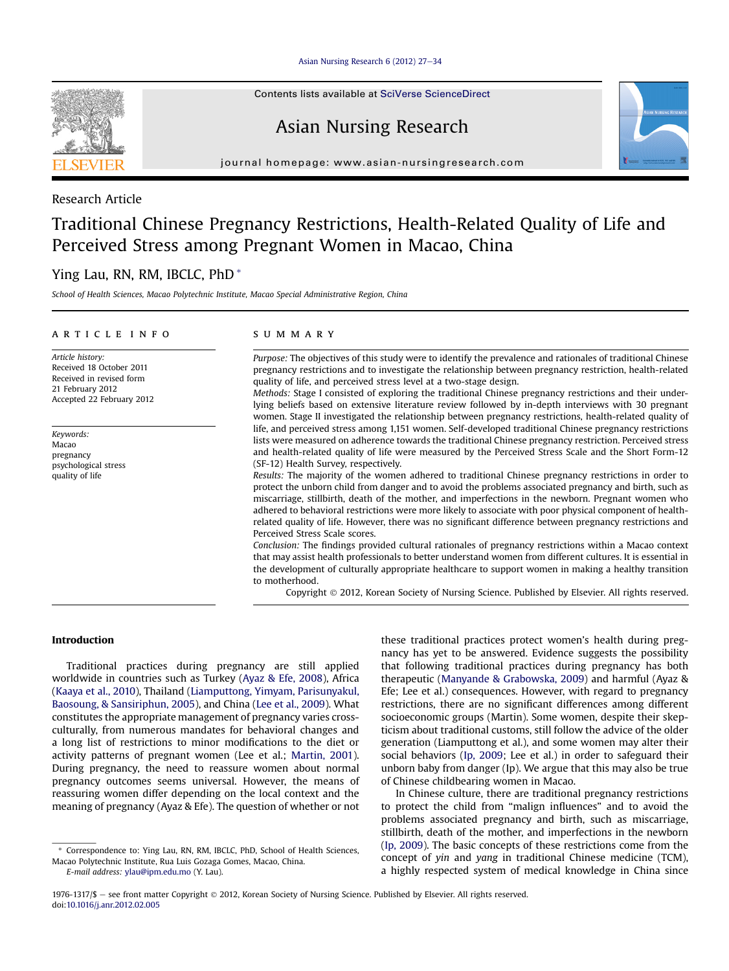[Asian Nursing Research 6 \(2012\) 27](http://dx.doi.org/10.1016/j.anr.2012.02.005)-[34](http://dx.doi.org/10.1016/j.anr.2012.02.005)

Contents lists available at SciVerse ScienceDirect

## Asian Nursing Research

journal homepage: [www.asian-nursingresearch.com](http://www.asian-nursingresearch.com)



# Traditional Chinese Pregnancy Restrictions, Health-Related Quality of Life and Perceived Stress among Pregnant Women in Macao, China

## Ying Lau, RN, RM, IBCLC, PhD<sup>\*</sup>

School of Health Sciences, Macao Polytechnic Institute, Macao Special Administrative Region, China

### article info

Article history: Received 18 October 2011 Received in revised form 21 February 2012 Accepted 22 February 2012

Keywords: Macao pregnancy psychological stress quality of life

## summary

Purpose: The objectives of this study were to identify the prevalence and rationales of traditional Chinese pregnancy restrictions and to investigate the relationship between pregnancy restriction, health-related quality of life, and perceived stress level at a two-stage design.

Methods: Stage I consisted of exploring the traditional Chinese pregnancy restrictions and their underlying beliefs based on extensive literature review followed by in-depth interviews with 30 pregnant women. Stage II investigated the relationship between pregnancy restrictions, health-related quality of life, and perceived stress among 1,151 women. Self-developed traditional Chinese pregnancy restrictions lists were measured on adherence towards the traditional Chinese pregnancy restriction. Perceived stress and health-related quality of life were measured by the Perceived Stress Scale and the Short Form-12 (SF-12) Health Survey, respectively.

Results: The majority of the women adhered to traditional Chinese pregnancy restrictions in order to protect the unborn child from danger and to avoid the problems associated pregnancy and birth, such as miscarriage, stillbirth, death of the mother, and imperfections in the newborn. Pregnant women who adhered to behavioral restrictions were more likely to associate with poor physical component of healthrelated quality of life. However, there was no significant difference between pregnancy restrictions and Perceived Stress Scale scores.

Conclusion: The findings provided cultural rationales of pregnancy restrictions within a Macao context that may assist health professionals to better understand women from different cultures. It is essential in the development of culturally appropriate healthcare to support women in making a healthy transition to motherhood.

Copyright 2012, Korean Society of Nursing Science. Published by Elsevier. All rights reserved.

## Introduction

Traditional practices during pregnancy are still applied worldwide in countries such as Turkey [\(Ayaz & Efe, 2008\)](#page-6-0), Africa ([Kaaya et al., 2010\)](#page-6-0), Thailand ([Liamputtong, Yimyam, Parisunyakul,](#page-6-0) [Baosoung, & Sansiriphun, 2005](#page-6-0)), and China [\(Lee et al., 2009\)](#page-6-0). What constitutes the appropriate management of pregnancy varies crossculturally, from numerous mandates for behavioral changes and a long list of restrictions to minor modifications to the diet or activity patterns of pregnant women (Lee et al.; [Martin, 2001\)](#page-6-0). During pregnancy, the need to reassure women about normal pregnancy outcomes seems universal. However, the means of reassuring women differ depending on the local context and the meaning of pregnancy (Ayaz & Efe). The question of whether or not

Correspondence to: Ying Lau, RN, RM, IBCLC, PhD, School of Health Sciences, Macao Polytechnic Institute, Rua Luis Gozaga Gomes, Macao, China.

E-mail address: [ylau@ipm.edu.mo](mailto:ylau@ipm.edu.mo) (Y. Lau).

these traditional practices protect women's health during pregnancy has yet to be answered. Evidence suggests the possibility that following traditional practices during pregnancy has both therapeutic ([Manyande & Grabowska, 2009](#page-6-0)) and harmful (Ayaz & Efe; Lee et al.) consequences. However, with regard to pregnancy restrictions, there are no significant differences among different socioeconomic groups (Martin). Some women, despite their skepticism about traditional customs, still follow the advice of the older generation (Liamputtong et al.), and some women may alter their social behaviors [\(Ip, 2009](#page-6-0); Lee et al.) in order to safeguard their unborn baby from danger (Ip). We argue that this may also be true of Chinese childbearing women in Macao.

In Chinese culture, there are traditional pregnancy restrictions to protect the child from "malign influences" and to avoid the problems associated pregnancy and birth, such as miscarriage, stillbirth, death of the mother, and imperfections in the newborn ([Ip, 2009\)](#page-6-0). The basic concepts of these restrictions come from the concept of yin and yang in traditional Chinese medicine (TCM), a highly respected system of medical knowledge in China since

<sup>1976-1317/\$ -</sup> see front matter Copyright © 2012, Korean Society of Nursing Science. Published by Elsevier. All rights reserved. doi[:10.1016/j.anr.2012.02.005](http://dx.doi.org/10.1016/j.anr.2012.02.005)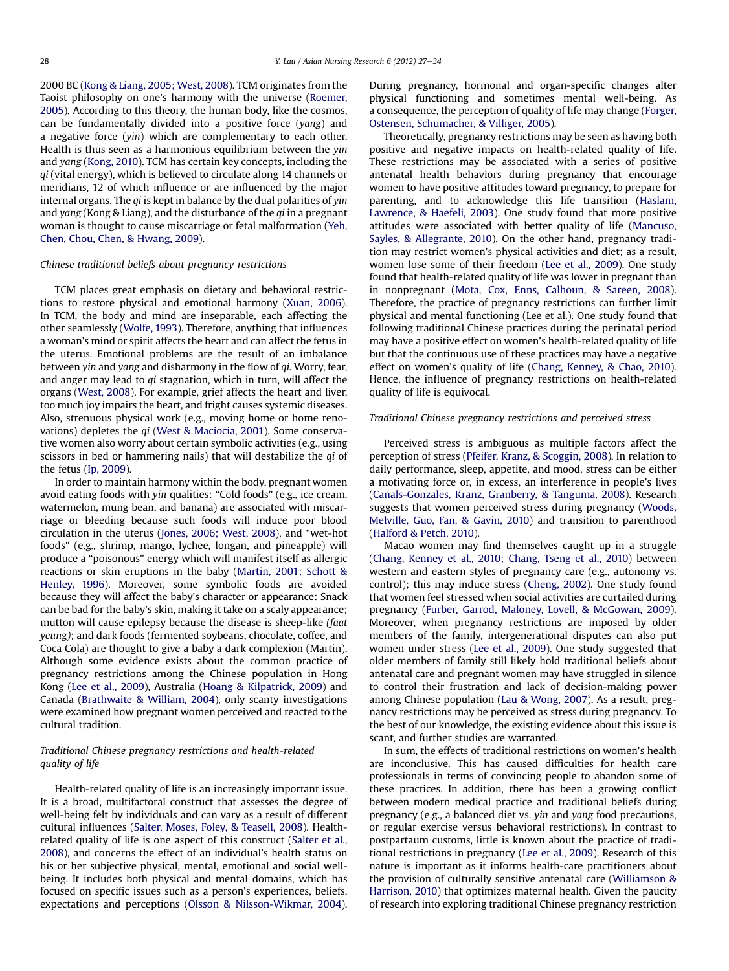2000 BC ([Kong & Liang, 2005; West, 2008\)](#page-6-0). TCM originates from the Taoist philosophy on one's harmony with the universe [\(Roemer,](#page-7-0) [2005](#page-7-0)). According to this theory, the human body, like the cosmos, can be fundamentally divided into a positive force (yang) and a negative force (yin) which are complementary to each other. Health is thus seen as a harmonious equilibrium between the yin and yang [\(Kong, 2010\)](#page-6-0). TCM has certain key concepts, including the qi (vital energy), which is believed to circulate along 14 channels or meridians, 12 of which influence or are influenced by the major internal organs. The  $qi$  is kept in balance by the dual polarities of  $yin$ and yang (Kong & Liang), and the disturbance of the  $qi$  in a pregnant woman is thought to cause miscarriage or fetal malformation [\(Yeh,](#page-7-0) [Chen, Chou, Chen, & Hwang, 2009](#page-7-0)).

#### Chinese traditional beliefs about pregnancy restrictions

TCM places great emphasis on dietary and behavioral restrictions to restore physical and emotional harmony [\(Xuan, 2006\)](#page-7-0). In TCM, the body and mind are inseparable, each affecting the other seamlessly ([Wolfe, 1993](#page-7-0)). Therefore, anything that influences a woman's mind or spirit affects the heart and can affect the fetus in the uterus. Emotional problems are the result of an imbalance between yin and yang and disharmony in the flow of qi. Worry, fear, and anger may lead to qi stagnation, which in turn, will affect the organs ([West, 2008\)](#page-7-0). For example, grief affects the heart and liver, too much joy impairs the heart, and fright causes systemic diseases. Also, strenuous physical work (e.g., moving home or home renovations) depletes the qi [\(West & Maciocia, 2001\)](#page-7-0). Some conservative women also worry about certain symbolic activities (e.g., using scissors in bed or hammering nails) that will destabilize the qi of the fetus ([Ip, 2009\)](#page-6-0).

In order to maintain harmony within the body, pregnant women avoid eating foods with yin qualities: "Cold foods" (e.g., ice cream, watermelon, mung bean, and banana) are associated with miscarriage or bleeding because such foods will induce poor blood circulation in the uterus ([Jones, 2006; West, 2008](#page-6-0)), and "wet-hot foods" (e.g., shrimp, mango, lychee, longan, and pineapple) will produce a "poisonous" energy which will manifest itself as allergic reactions or skin eruptions in the baby ([Martin, 2001; Schott &](#page-6-0) [Henley, 1996](#page-6-0)). Moreover, some symbolic foods are avoided because they will affect the baby's character or appearance: Snack can be bad for the baby's skin, making it take on a scaly appearance; mutton will cause epilepsy because the disease is sheep-like (faat yeung); and dark foods (fermented soybeans, chocolate, coffee, and Coca Cola) are thought to give a baby a dark complexion (Martin). Although some evidence exists about the common practice of pregnancy restrictions among the Chinese population in Hong Kong [\(Lee et al., 2009\)](#page-6-0), Australia ([Hoang & Kilpatrick, 2009](#page-6-0)) and Canada ([Brathwaite & William, 2004](#page-6-0)), only scanty investigations were examined how pregnant women perceived and reacted to the cultural tradition.

## Traditional Chinese pregnancy restrictions and health-related quality of life

Health-related quality of life is an increasingly important issue. It is a broad, multifactoral construct that assesses the degree of well-being felt by individuals and can vary as a result of different cultural influences ([Salter, Moses, Foley, & Teasell, 2008](#page-7-0)). Healthrelated quality of life is one aspect of this construct ([Salter et al.,](#page-7-0) [2008](#page-7-0)), and concerns the effect of an individual's health status on his or her subjective physical, mental, emotional and social wellbeing. It includes both physical and mental domains, which has focused on specific issues such as a person's experiences, beliefs, expectations and perceptions ([Olsson & Nilsson-Wikmar, 2004](#page-7-0)). During pregnancy, hormonal and organ-specific changes alter physical functioning and sometimes mental well-being. As a consequence, the perception of quality of life may change [\(Forger,](#page-6-0) [Ostensen, Schumacher, & Villiger, 2005\)](#page-6-0).

Theoretically, pregnancy restrictions may be seen as having both positive and negative impacts on health-related quality of life. These restrictions may be associated with a series of positive antenatal health behaviors during pregnancy that encourage women to have positive attitudes toward pregnancy, to prepare for parenting, and to acknowledge this life transition ([Haslam,](#page-6-0) [Lawrence, & Haefeli, 2003\)](#page-6-0). One study found that more positive attitudes were associated with better quality of life [\(Mancuso,](#page-6-0) [Sayles, & Allegrante, 2010\)](#page-6-0). On the other hand, pregnancy tradition may restrict women's physical activities and diet; as a result, women lose some of their freedom ([Lee et al., 2009](#page-6-0)). One study found that health-related quality of life was lower in pregnant than in nonpregnant [\(Mota, Cox, Enns, Calhoun, & Sareen, 2008\)](#page-6-0). Therefore, the practice of pregnancy restrictions can further limit physical and mental functioning (Lee et al.). One study found that following traditional Chinese practices during the perinatal period may have a positive effect on women's health-related quality of life but that the continuous use of these practices may have a negative effect on women's quality of life (Chang, [Kenney, & Chao, 2010\)](#page-6-0). Hence, the influence of pregnancy restrictions on health-related quality of life is equivocal.

#### Traditional Chinese pregnancy restrictions and perceived stress

Perceived stress is ambiguous as multiple factors affect the perception of stress [\(Pfeifer, Kranz, & Scoggin, 2008](#page-7-0)). In relation to daily performance, sleep, appetite, and mood, stress can be either a motivating force or, in excess, an interference in people's lives ([Canals-Gonzales, Kranz, Granberry, & Tanguma, 2008\)](#page-6-0). Research suggests that women perceived stress during pregnancy ([Woods,](#page-7-0) [Melville, Guo, Fan, & Gavin, 2010\)](#page-7-0) and transition to parenthood ([Halford & Petch, 2010](#page-6-0)).

Macao women may find themselves caught up in a struggle ([Chang, Kenney et al., 2010; Chang, Tseng et al., 2010](#page-6-0)) between western and eastern styles of pregnancy care (e.g., autonomy vs. control); this may induce stress [\(Cheng, 2002\)](#page-6-0). One study found that women feel stressed when social activities are curtailed during pregnancy [\(Furber, Garrod, Maloney, Lovell, & McGowan, 2009\)](#page-6-0). Moreover, when pregnancy restrictions are imposed by older members of the family, intergenerational disputes can also put women under stress ([Lee et al., 2009](#page-6-0)). One study suggested that older members of family still likely hold traditional beliefs about antenatal care and pregnant women may have struggled in silence to control their frustration and lack of decision-making power among Chinese population ([Lau & Wong, 2007](#page-6-0)). As a result, pregnancy restrictions may be perceived as stress during pregnancy. To the best of our knowledge, the existing evidence about this issue is scant, and further studies are warranted.

In sum, the effects of traditional restrictions on women's health are inconclusive. This has caused difficulties for health care professionals in terms of convincing people to abandon some of these practices. In addition, there has been a growing conflict between modern medical practice and traditional beliefs during pregnancy (e.g., a balanced diet vs. yin and yang food precautions, or regular exercise versus behavioral restrictions). In contrast to postpartaum customs, little is known about the practice of traditional restrictions in pregnancy ([Lee et al., 2009\)](#page-6-0). Research of this nature is important as it informs health-care practitioners about the provision of culturally sensitive antenatal care ([Williamson &](#page-7-0) [Harrison, 2010](#page-7-0)) that optimizes maternal health. Given the paucity of research into exploring traditional Chinese pregnancy restriction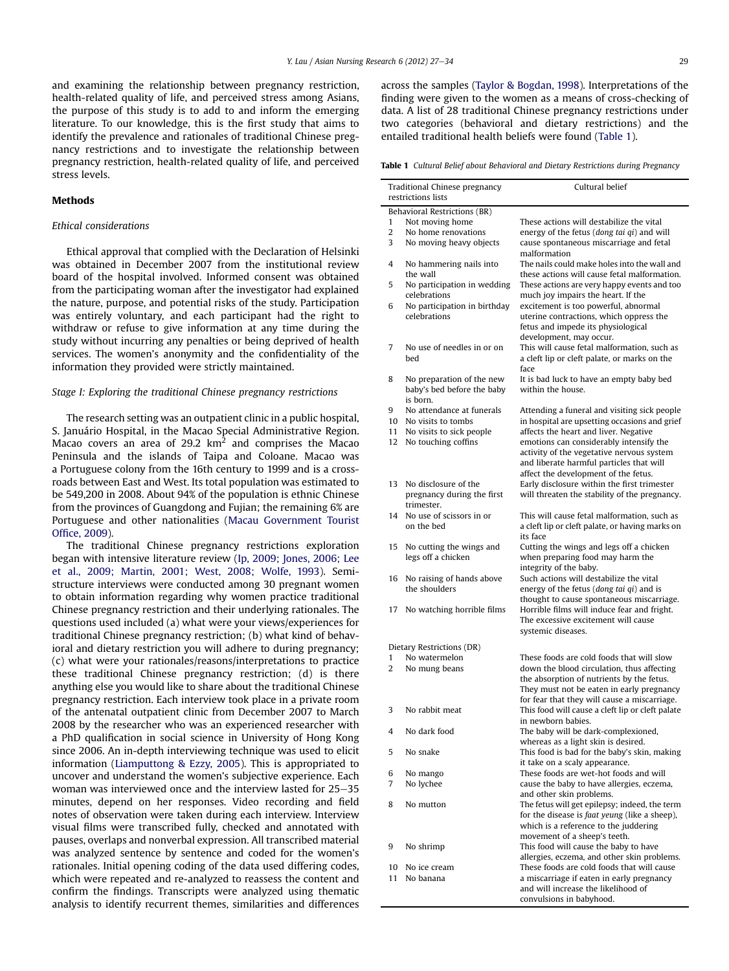and examining the relationship between pregnancy restriction, health-related quality of life, and perceived stress among Asians, the purpose of this study is to add to and inform the emerging literature. To our knowledge, this is the first study that aims to identify the prevalence and rationales of traditional Chinese pregnancy restrictions and to investigate the relationship between pregnancy restriction, health-related quality of life, and perceived stress levels.

## Methods

## Ethical considerations

Ethical approval that complied with the Declaration of Helsinki was obtained in December 2007 from the institutional review board of the hospital involved. Informed consent was obtained from the participating woman after the investigator had explained the nature, purpose, and potential risks of the study. Participation was entirely voluntary, and each participant had the right to withdraw or refuse to give information at any time during the study without incurring any penalties or being deprived of health services. The women's anonymity and the confidentiality of the information they provided were strictly maintained.

#### Stage I: Exploring the traditional Chinese pregnancy restrictions

The research setting was an outpatient clinic in a public hospital, S. Januário Hospital, in the Macao Special Administrative Region. Macao covers an area of 29.2  $km^2$  and comprises the Macao Peninsula and the islands of Taipa and Coloane. Macao was a Portuguese colony from the 16th century to 1999 and is a crossroads between East and West. Its total population was estimated to be 549,200 in 2008. About 94% of the population is ethnic Chinese from the provinces of Guangdong and Fujian; the remaining 6% are Portuguese and other nationalities [\(Macau Government Tourist](#page-6-0) Offi[ce, 2009\)](#page-6-0).

The traditional Chinese pregnancy restrictions exploration began with intensive literature review [\(Ip, 2009; Jones, 2006; Lee](#page-6-0) [et al., 2009; Martin, 2001; West, 2008; Wolfe, 1993](#page-6-0)). Semistructure interviews were conducted among 30 pregnant women to obtain information regarding why women practice traditional Chinese pregnancy restriction and their underlying rationales. The questions used included (a) what were your views/experiences for traditional Chinese pregnancy restriction; (b) what kind of behavioral and dietary restriction you will adhere to during pregnancy; (c) what were your rationales/reasons/interpretations to practice these traditional Chinese pregnancy restriction; (d) is there anything else you would like to share about the traditional Chinese pregnancy restriction. Each interview took place in a private room of the antenatal outpatient clinic from December 2007 to March 2008 by the researcher who was an experienced researcher with a PhD qualification in social science in University of Hong Kong since 2006. An in-depth interviewing technique was used to elicit information [\(Liamputtong & Ezzy, 2005](#page-6-0)). This is appropriated to uncover and understand the women's subjective experience. Each woman was interviewed once and the interview lasted for  $25-35$ minutes, depend on her responses. Video recording and field notes of observation were taken during each interview. Interview visual films were transcribed fully, checked and annotated with pauses, overlaps and nonverbal expression. All transcribed material was analyzed sentence by sentence and coded for the women's rationales. Initial opening coding of the data used differing codes, which were repeated and re-analyzed to reassess the content and confirm the findings. Transcripts were analyzed using thematic analysis to identify recurrent themes, similarities and differences

across the samples ([Taylor & Bogdan, 1998](#page-7-0)). Interpretations of the finding were given to the women as a means of cross-checking of data. A list of 28 traditional Chinese pregnancy restrictions under two categories (behavioral and dietary restrictions) and the entailed traditional health beliefs were found (Table 1).

Table 1 Cultural Belief about Behavioral and Dietary Restrictions during Pregnancy

|    | Traditional Chinese pregnancy<br>restrictions lists | Cultural belief                                                                     |  |  |  |
|----|-----------------------------------------------------|-------------------------------------------------------------------------------------|--|--|--|
|    | Behavioral Restrictions (BR)                        |                                                                                     |  |  |  |
| 1  | Not moving home                                     | These actions will destabilize the vital                                            |  |  |  |
| 2  | No home renovations                                 | energy of the fetus (dong tai qi) and will                                          |  |  |  |
| 3  | No moving heavy objects                             | cause spontaneous miscarriage and fetal                                             |  |  |  |
|    |                                                     | malformation                                                                        |  |  |  |
| 4  | No hammering nails into                             | The nails could make holes into the wall and                                        |  |  |  |
|    | the wall                                            | these actions will cause fetal malformation.                                        |  |  |  |
| 5  | No participation in wedding<br>celebrations         | These actions are very happy events and too<br>much joy impairs the heart. If the   |  |  |  |
| 6  | No participation in birthday                        | excitement is too powerful, abnormal                                                |  |  |  |
|    | celebrations                                        | uterine contractions, which oppress the                                             |  |  |  |
|    |                                                     | fetus and impede its physiological                                                  |  |  |  |
|    |                                                     | development, may occur.                                                             |  |  |  |
| 7  | No use of needles in or on                          | This will cause fetal malformation, such as                                         |  |  |  |
|    | bed                                                 | a cleft lip or cleft palate, or marks on the                                        |  |  |  |
|    |                                                     | face                                                                                |  |  |  |
| 8  | No preparation of the new                           | It is bad luck to have an empty baby bed                                            |  |  |  |
|    | baby's bed before the baby                          | within the house.                                                                   |  |  |  |
|    | is born.                                            |                                                                                     |  |  |  |
| 9  | No attendance at funerals                           | Attending a funeral and visiting sick people                                        |  |  |  |
| 10 | No visits to tombs                                  | in hospital are upsetting occasions and grief                                       |  |  |  |
| 11 | No visits to sick people                            | affects the heart and liver. Negative                                               |  |  |  |
| 12 | No touching coffins                                 | emotions can considerably intensify the                                             |  |  |  |
|    |                                                     | activity of the vegetative nervous system                                           |  |  |  |
|    |                                                     | and liberate harmful particles that will                                            |  |  |  |
|    |                                                     | affect the development of the fetus.                                                |  |  |  |
| 13 | No disclosure of the                                | Early disclosure within the first trimester                                         |  |  |  |
|    | pregnancy during the first<br>trimester.            | will threaten the stability of the pregnancy.                                       |  |  |  |
| 14 | No use of scissors in or                            | This will cause fetal malformation, such as                                         |  |  |  |
|    | on the bed                                          | a cleft lip or cleft palate, or having marks on                                     |  |  |  |
|    |                                                     | its face                                                                            |  |  |  |
| 15 | No cutting the wings and                            | Cutting the wings and legs off a chicken                                            |  |  |  |
|    | legs off a chicken                                  | when preparing food may harm the                                                    |  |  |  |
|    |                                                     | integrity of the baby.                                                              |  |  |  |
| 16 | No raising of hands above                           | Such actions will destabilize the vital                                             |  |  |  |
|    | the shoulders                                       | energy of the fetus (dong tai qi) and is                                            |  |  |  |
|    |                                                     | thought to cause spontaneous miscarriage.                                           |  |  |  |
| 17 | No watching horrible films                          | Horrible films will induce fear and fright.                                         |  |  |  |
|    |                                                     | The excessive excitement will cause                                                 |  |  |  |
|    |                                                     | systemic diseases.                                                                  |  |  |  |
|    | Dietary Restrictions (DR)                           |                                                                                     |  |  |  |
| 1  | No watermelon                                       | These foods are cold foods that will slow                                           |  |  |  |
| 2  | No mung beans                                       | down the blood circulation, thus affecting                                          |  |  |  |
|    |                                                     | the absorption of nutrients by the fetus.                                           |  |  |  |
|    |                                                     | They must not be eaten in early pregnancy                                           |  |  |  |
|    |                                                     | for fear that they will cause a miscarriage.                                        |  |  |  |
| 3  | No rabbit meat                                      | This food will cause a cleft lip or cleft palate                                    |  |  |  |
|    |                                                     | in newborn babies.                                                                  |  |  |  |
| 4  | No dark food                                        | The baby will be dark-complexioned,                                                 |  |  |  |
|    | No snake                                            | whereas as a light skin is desired.<br>This food is bad for the baby's skin, making |  |  |  |
| 5  |                                                     |                                                                                     |  |  |  |
| 6  | No mango                                            | it take on a scaly appearance.<br>These foods are wet-hot foods and will            |  |  |  |
| 7  | No lychee                                           | cause the baby to have allergies, eczema,                                           |  |  |  |
|    |                                                     | and other skin problems.                                                            |  |  |  |
| 8  | No mutton                                           | The fetus will get epilepsy; indeed, the term                                       |  |  |  |
|    |                                                     | for the disease is faat yeung (like a sheep),                                       |  |  |  |
|    |                                                     | which is a reference to the juddering                                               |  |  |  |
|    |                                                     | movement of a sheep's teeth.                                                        |  |  |  |
| 9  | No shrimp                                           | This food will cause the baby to have                                               |  |  |  |
|    |                                                     | allergies, eczema, and other skin problems.                                         |  |  |  |
| 10 | No ice cream                                        | These foods are cold foods that will cause                                          |  |  |  |
| 11 | No banana                                           | a miscarriage if eaten in early pregnancy                                           |  |  |  |
|    |                                                     | and will increase the likelihood of                                                 |  |  |  |
|    |                                                     | convulsions in babyhood.                                                            |  |  |  |
|    |                                                     |                                                                                     |  |  |  |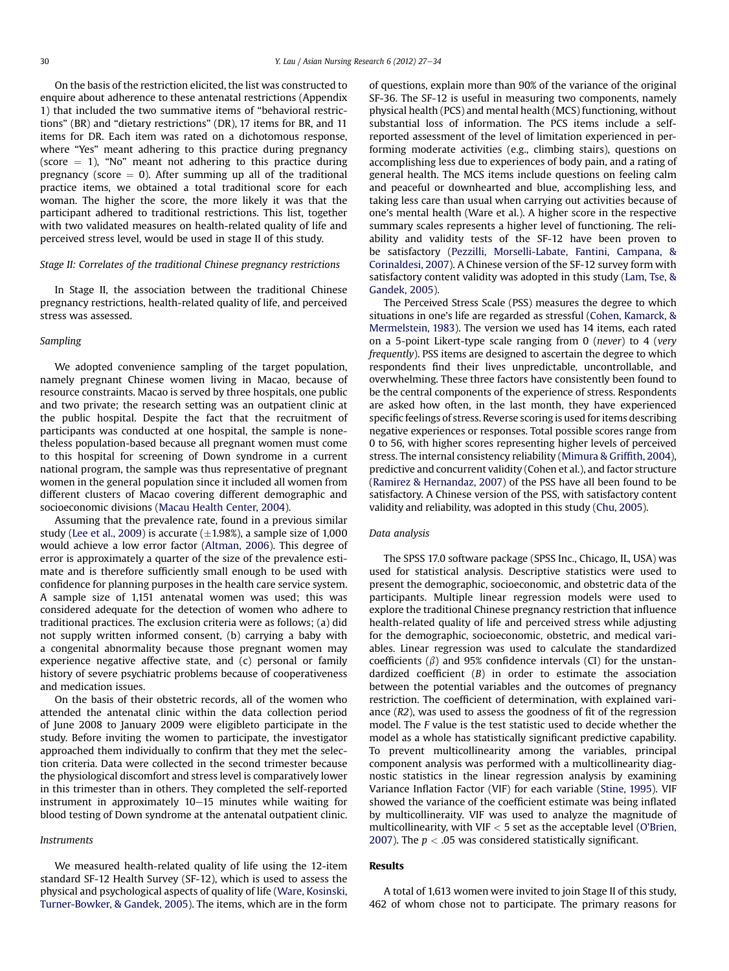On the basis of the restriction elicited, the list was constructed to enquire about adherence to these antenatal restrictions (Appendix 1) that included the two summative items of "behavioral restrictions" (BR) and "dietary restrictions" (DR), 17 items for BR, and 11 items for DR. Each item was rated on a dichotomous response, where "Yes" meant adhering to this practice during pregnancy (score  $= 1$ ), "No" meant not adhering to this practice during pregnancy (score  $= 0$ ). After summing up all of the traditional practice items, we obtained a total traditional score for each woman. The higher the score, the more likely it was that the participant adhered to traditional restrictions. This list, together with two validated measures on health-related quality of life and perceived stress level, would be used in stage II of this study.

#### Stage II: Correlates of the traditional Chinese pregnancy restrictions

In Stage II, the association between the traditional Chinese pregnancy restrictions, health-related quality of life, and perceived stress was assessed.

#### Sampling

We adopted convenience sampling of the target population, namely pregnant Chinese women living in Macao, because of resource constraints. Macao is served by three hospitals, one public and two private; the research setting was an outpatient clinic at the public hospital. Despite the fact that the recruitment of participants was conducted at one hospital, the sample is nonetheless population-based because all pregnant women must come to this hospital for screening of Down syndrome in a current national program, the sample was thus representative of pregnant women in the general population since it included all women from different clusters of Macao covering different demographic and socioeconomic divisions ([Macau Health Center, 2004\)](#page-6-0).

Assuming that the prevalence rate, found in a previous similar study [\(Lee et al., 2009\)](#page-6-0) is accurate ( $\pm$ 1.98%), a sample size of 1,000 would achieve a low error factor ([Altman, 2006](#page-6-0)). This degree of error is approximately a quarter of the size of the prevalence estimate and is therefore sufficiently small enough to be used with confidence for planning purposes in the health care service system. A sample size of 1,151 antenatal women was used; this was considered adequate for the detection of women who adhere to traditional practices. The exclusion criteria were as follows; (a) did not supply written informed consent, (b) carrying a baby with a congenital abnormality because those pregnant women may experience negative affective state, and (c) personal or family history of severe psychiatric problems because of cooperativeness and medication issues.

On the basis of their obstetric records, all of the women who attended the antenatal clinic within the data collection period of June 2008 to January 2009 were eligibleto participate in the study. Before inviting the women to participate, the investigator approached them individually to confirm that they met the selection criteria. Data were collected in the second trimester because the physiological discomfort and stress level is comparatively lower in this trimester than in others. They completed the self-reported instrument in approximately  $10-15$  minutes while waiting for blood testing of Down syndrome at the antenatal outpatient clinic.

#### **Instruments**

We measured health-related quality of life using the 12-item standard SF-12 Health Survey (SF-12), which is used to assess the physical and psychological aspects of quality of life ([Ware, Kosinski,](#page-7-0) [Turner-Bowker, & Gandek, 2005\)](#page-7-0). The items, which are in the form of questions, explain more than 90% of the variance of the original SF-36. The SF-12 is useful in measuring two components, namely physical health (PCS) and mental health (MCS) functioning, without substantial loss of information. The PCS items include a selfreported assessment of the level of limitation experienced in performing moderate activities (e.g., climbing stairs), questions on accomplishing less due to experiences of body pain, and a rating of general health. The MCS items include questions on feeling calm and peaceful or downhearted and blue, accomplishing less, and taking less care than usual when carrying out activities because of one's mental health (Ware et al.). A higher score in the respective summary scales represents a higher level of functioning. The reliability and validity tests of the SF-12 have been proven to be satisfactory [\(Pezzilli, Morselli-Labate, Fantini, Campana, &](#page-7-0) [Corinaldesi, 2007\)](#page-7-0). A Chinese version of the SF-12 survey form with satisfactory content validity was adopted in this study ([Lam, Tse, &](#page-6-0) [Gandek, 2005](#page-6-0)).

The Perceived Stress Scale (PSS) measures the degree to which situations in one's life are regarded as stressful [\(Cohen, Kamarck, &](#page-6-0) [Mermelstein, 1983\)](#page-6-0). The version we used has 14 items, each rated on a 5-point Likert-type scale ranging from 0 (never) to 4 (very frequently). PSS items are designed to ascertain the degree to which respondents find their lives unpredictable, uncontrollable, and overwhelming. These three factors have consistently been found to be the central components of the experience of stress. Respondents are asked how often, in the last month, they have experienced specific feelings of stress. Reverse scoring is used for items describing negative experiences or responses. Total possible scores range from 0 to 56, with higher scores representing higher levels of perceived stress. The internal consistency reliability [\(Mimura & Grif](#page-6-0)fith, 2004), predictive and concurrent validity (Cohen et al.), and factor structure ([Ramirez & Hernandaz, 2007\)](#page-7-0) of the PSS have all been found to be satisfactory. A Chinese version of the PSS, with satisfactory content validity and reliability, was adopted in this study [\(Chu, 2005](#page-6-0)).

#### Data analysis

The SPSS 17.0 software package (SPSS Inc., Chicago, IL, USA) was used for statistical analysis. Descriptive statistics were used to present the demographic, socioeconomic, and obstetric data of the participants. Multiple linear regression models were used to explore the traditional Chinese pregnancy restriction that influence health-related quality of life and perceived stress while adjusting for the demographic, socioeconomic, obstetric, and medical variables. Linear regression was used to calculate the standardized coefficients  $(\beta)$  and 95% confidence intervals (CI) for the unstandardized coefficient (B) in order to estimate the association between the potential variables and the outcomes of pregnancy restriction. The coefficient of determination, with explained variance (R2), was used to assess the goodness of fit of the regression model. The F value is the test statistic used to decide whether the model as a whole has statistically significant predictive capability. To prevent multicollinearity among the variables, principal component analysis was performed with a multicollinearity diagnostic statistics in the linear regression analysis by examining Variance Inflation Factor (VIF) for each variable ([Stine, 1995\)](#page-7-0). VIF showed the variance of the coefficient estimate was being inflated by multicollineraity. VIF was used to analyze the magnitude of multicollinearity, with VIF  $<$  5 set as the acceptable level (O'[Brien,](#page-7-0) [2007\)](#page-7-0). The  $p < 0.05$  was considered statistically significant.

## Results

A total of 1,613 women were invited to join Stage II of this study, 462 of whom chose not to participate. The primary reasons for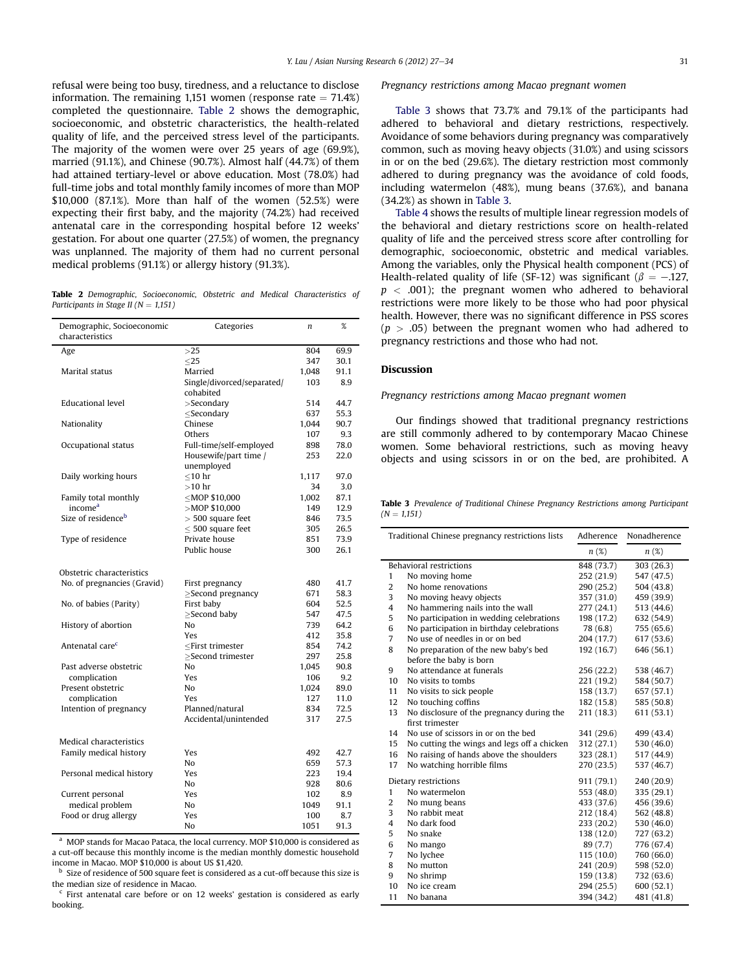refusal were being too busy, tiredness, and a reluctance to disclose information. The remaining 1,151 women (response rate  $= 71.4\%$ ) completed the questionnaire. Table 2 shows the demographic, socioeconomic, and obstetric characteristics, the health-related quality of life, and the perceived stress level of the participants. The majority of the women were over 25 years of age (69.9%), married (91.1%), and Chinese (90.7%). Almost half (44.7%) of them had attained tertiary-level or above education. Most (78.0%) had full-time jobs and total monthly family incomes of more than MOP \$10,000 (87.1%). More than half of the women (52.5%) were expecting their first baby, and the majority (74.2%) had received antenatal care in the corresponding hospital before 12 weeks' gestation. For about one quarter (27.5%) of women, the pregnancy was unplanned. The majority of them had no current personal medical problems (91.1%) or allergy history (91.3%).

Table 2 Demographic, Socioeconomic, Obstetric and Medical Characteristics of Participants in Stage II ( $N = 1,151$ )

| Demographic, Socioeconomic<br>characteristics | Categories                                                   | n     | %    |
|-----------------------------------------------|--------------------------------------------------------------|-------|------|
| Age                                           | >25                                                          | 804   | 69.9 |
|                                               | $<$ 25                                                       | 347   | 30.1 |
| Marital status                                | Married                                                      | 1,048 | 91.1 |
|                                               | Single/divorced/separated/<br>cohabited                      | 103   | 8.9  |
| <b>Educational level</b>                      | $>\!\!$ Secondary                                            | 514   | 44.7 |
|                                               | $\le$ Secondary                                              | 637   | 55.3 |
| Nationality                                   | Chinese                                                      | 1,044 | 90.7 |
|                                               | Others                                                       | 107   | 9.3  |
| Occupational status                           | Full-time/self-employed                                      | 898   | 78.0 |
|                                               | Housewife/part time /                                        | 253   | 22.0 |
|                                               | unemployed                                                   |       |      |
| Daily working hours                           | $<$ 10 hr                                                    | 1,117 | 97.0 |
|                                               | $>10$ hr                                                     | 34    | 3.0  |
| Family total monthly                          | $\leq$ MOP \$10,000                                          | 1,002 | 87.1 |
| income <sup>a</sup>                           | >MOP \$10,000                                                | 149   | 12.9 |
| Size of residence <sup>b</sup>                | $>$ 500 square feet                                          | 846   | 73.5 |
|                                               | $\leq$ 500 square feet                                       | 305   | 26.5 |
| Type of residence                             | Private house                                                | 851   | 73.9 |
|                                               | Public house                                                 | 300   | 26.1 |
| Obstetric characteristics                     |                                                              |       |      |
| No. of pregnancies (Gravid)                   | First pregnancy                                              | 480   | 41.7 |
|                                               | $\geq$ Second pregnancy                                      | 671   | 58.3 |
| No. of babies (Parity)                        | First baby                                                   | 604   | 52.5 |
|                                               | $\geq$ Second baby                                           | 547   | 47.5 |
| History of abortion                           | No                                                           | 739   | 64.2 |
|                                               | Yes                                                          | 412   | 35.8 |
| Antenatal care <sup>c</sup>                   | <first td="" trimester<=""><td>854</td><td>74.2</td></first> | 854   | 74.2 |
|                                               | >Second trimester                                            | 297   | 25.8 |
| Past adverse obstetric                        | No                                                           | 1,045 | 90.8 |
| complication                                  | Yes                                                          | 106   | 9.2  |
| Present obstetric                             | No                                                           | 1,024 | 89.0 |
| complication                                  | Yes                                                          | 127   | 11.0 |
| Intention of pregnancy                        | Planned/natural                                              | 834   | 72.5 |
|                                               | Accidental/unintended                                        | 317   | 27.5 |
| Medical characteristics                       |                                                              |       |      |
| Family medical history                        | Yes                                                          | 492   | 42.7 |
|                                               | No                                                           | 659   | 57.3 |
| Personal medical history                      | Yes                                                          | 223   | 19.4 |
|                                               | No                                                           | 928   | 80.6 |
| Current personal                              | Yes                                                          | 102   | 8.9  |
| medical problem                               | No                                                           | 1049  | 91.1 |
| Food or drug allergy                          | Yes                                                          | 100   | 8.7  |
|                                               | No                                                           | 1051  | 91.3 |

<sup>a</sup> MOP stands for Macao Pataca, the local currency. MOP \$10,000 is considered as a cut-off because this monthly income is the median monthly domestic household income in Macao. MOP \$10,000 is about US \$1,420.

Size of residence of 500 square feet is considered as a cut-off because this size is the median size of residence in Macao.

 $c$  First antenatal care before or on 12 weeks' gestation is considered as early booking.

#### Pregnancy restrictions among Macao pregnant women

Table 3 shows that 73.7% and 79.1% of the participants had adhered to behavioral and dietary restrictions, respectively. Avoidance of some behaviors during pregnancy was comparatively common, such as moving heavy objects (31.0%) and using scissors in or on the bed (29.6%). The dietary restriction most commonly adhered to during pregnancy was the avoidance of cold foods, including watermelon (48%), mung beans (37.6%), and banana (34.2%) as shown in Table 3.

[Table 4](#page-5-0) shows the results of multiple linear regression models of the behavioral and dietary restrictions score on health-related quality of life and the perceived stress score after controlling for demographic, socioeconomic, obstetric and medical variables. Among the variables, only the Physical health component (PCS) of Health-related quality of life (SF-12) was significant ( $\beta = -.127$ ,  $p < .001$ ); the pregnant women who adhered to behavioral restrictions were more likely to be those who had poor physical health. However, there was no significant difference in PSS scores  $(p > .05)$  between the pregnant women who had adhered to pregnancy restrictions and those who had not.

#### Discussion

#### Pregnancy restrictions among Macao pregnant women

Our findings showed that traditional pregnancy restrictions are still commonly adhered to by contemporary Macao Chinese women. Some behavioral restrictions, such as moving heavy objects and using scissors in or on the bed, are prohibited. A

Table 3 Prevalence of Traditional Chinese Pregnancy Restrictions among Participant  $(N = 1.151)$ 

| Traditional Chinese pregnancy restrictions lists  | Adherence  | Nonadherence |  |
|---------------------------------------------------|------------|--------------|--|
|                                                   | n(%)       | n(%)         |  |
| <b>Behavioral restrictions</b><br>848 (73.7)      |            | 303 (26.3)   |  |
| 1<br>No moving home                               | 252 (21.9) | 547 (47.5)   |  |
| $\overline{2}$<br>No home renovations             | 290 (25.2) | 504 (43.8)   |  |
| 3<br>No moving heavy objects                      | 357 (31.0) | 459 (39.9)   |  |
| No hammering nails into the wall<br>4             | 277 (24.1) | 513 (44.6)   |  |
| 5<br>No participation in wedding celebrations     | 198 (17.2) | 632 (54.9)   |  |
| 6<br>No participation in birthday celebrations    | 78 (6.8)   | 755 (65.6)   |  |
| 7<br>No use of needles in or on bed               | 204 (17.7) | 617 (53.6)   |  |
| 8<br>No preparation of the new baby's bed         | 192 (16.7) | 646 (56.1)   |  |
| before the baby is born                           |            |              |  |
| No attendance at funerals<br>9                    | 256 (22.2) | 538 (46.7)   |  |
| 10<br>No visits to tombs                          | 221 (19.2) | 584 (50.7)   |  |
| 11<br>No visits to sick people                    | 158 (13.7) | 657 (57.1)   |  |
| No touching coffins<br>12                         | 182 (15.8) | 585 (50.8)   |  |
| 13<br>No disclosure of the pregnancy during the   | 211 (18.3) | 611 (53.1)   |  |
| first trimester                                   |            |              |  |
| No use of scissors in or on the bed<br>14         | 341 (29.6) | 499 (43.4)   |  |
| 15<br>No cutting the wings and legs off a chicken | 312 (27.1) | 530 (46.0)   |  |
| 16<br>No raising of hands above the shoulders     | 323 (28.1) | 517 (44.9)   |  |
| 17<br>No watching horrible films                  | 270 (23.5) | 537 (46.7)   |  |
| Dietary restrictions                              | 911 (79.1) | 240 (20.9)   |  |
| No watermelon<br>1                                | 553 (48.0) | 335 (29.1)   |  |
| 2<br>No mung beans                                | 433 (37.6) | 456 (39.6)   |  |
| 3<br>No rabbit meat                               | 212 (18.4) | 562 (48.8)   |  |
| $\overline{4}$<br>No dark food                    | 233 (20.2) | 530 (46.0)   |  |
| 5<br>No snake                                     | 138 (12.0) | 727 (63.2)   |  |
| 6<br>No mango                                     | 89 (7.7)   | 776 (67.4)   |  |
| 7<br>No lychee                                    | 115 (10.0) | 760 (66.0)   |  |
| 8<br>No mutton                                    | 241 (20.9) | 598 (52.0)   |  |
| 9<br>No shrimp                                    | 159 (13.8) | 732 (63.6)   |  |
| 10<br>No ice cream                                | 294 (25.5) | 600(52.1)    |  |
| 11<br>No banana                                   | 394 (34.2) | 481 (41.8)   |  |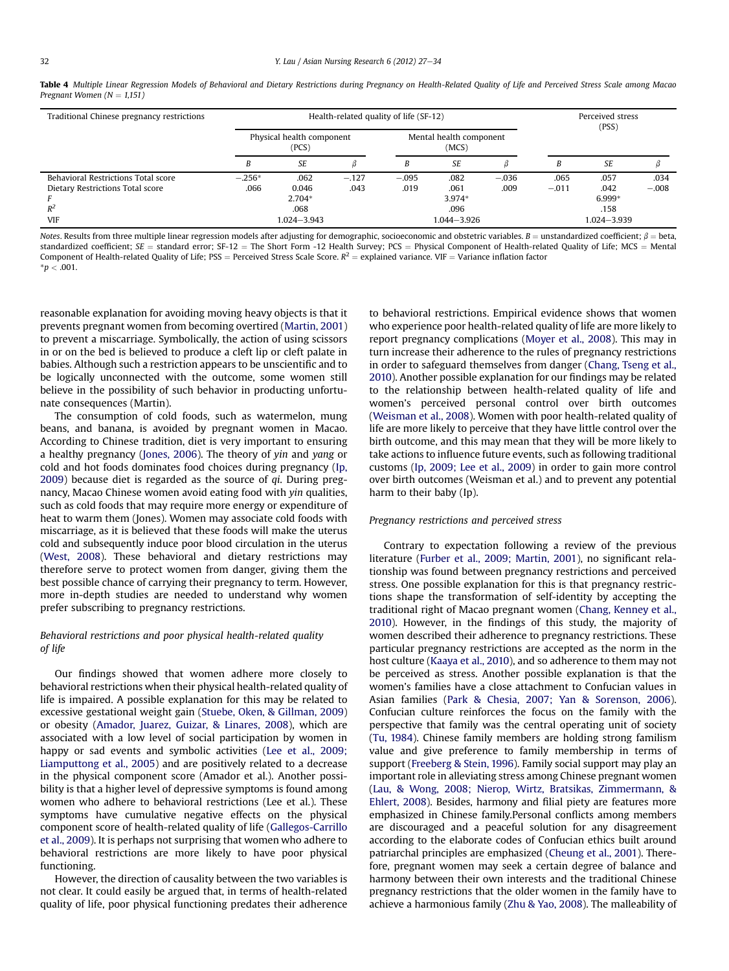<span id="page-5-0"></span>Table 4 Multiple Linear Regression Models of Behavioral and Dietary Restrictions during Pregnancy on Health-Related Quality of Life and Perceived Stress Scale among Macao Pregnant Women  $(N = 1.151)$ 

| Traditional Chinese pregnancy restrictions | Health-related quality of life (SF-12) |       |                                  |         |      | Perceived stress<br>(PSS) |         |      |         |
|--------------------------------------------|----------------------------------------|-------|----------------------------------|---------|------|---------------------------|---------|------|---------|
|                                            | Physical health component<br>(PCS)     |       | Mental health component<br>(MCS) |         |      |                           |         |      |         |
|                                            | B                                      | SE    |                                  | B       | SE   |                           | B       | SE   |         |
| Behavioral Restrictions Total score        | $-.256*$                               | .062  | $-.127$                          | $-.095$ | .082 | $-.036$                   | .065    | .057 | .034    |
| Dietary Restrictions Total score           | .066                                   | 0.046 | .043                             | .019    | .061 | .009                      | $-.011$ | .042 | $-.008$ |
|                                            | $2.704*$                               |       | 3.974*                           |         |      | $6.999*$                  |         |      |         |
| $R^2$                                      | .068                                   |       | .096                             |         |      | .158                      |         |      |         |
| <b>VIF</b>                                 | 1.024-3.943                            |       | 1.044–3.926                      |         |      | 1.024-3.939               |         |      |         |

Notes. Results from three multiple linear regression models after adjusting for demographic, socioeconomic and obstetric variables. B = unstandardized coefficient;  $\beta$  = beta, standardized coefficient; SE = standard error; SF-12 = The Short Form -12 Health Survey; PCS = Physical Component of Health-related Quality of Life; MCS = Mental Component of Health-related Quality of Life; PSS = Perceived Stress Scale Score.  $R^2$  = explained variance. VIF = Variance inflation factor  $*p < .001$ .

reasonable explanation for avoiding moving heavy objects is that it prevents pregnant women from becoming overtired [\(Martin, 2001\)](#page-6-0) to prevent a miscarriage. Symbolically, the action of using scissors in or on the bed is believed to produce a cleft lip or cleft palate in babies. Although such a restriction appears to be unscientific and to be logically unconnected with the outcome, some women still believe in the possibility of such behavior in producting unfortunate consequences (Martin).

The consumption of cold foods, such as watermelon, mung beans, and banana, is avoided by pregnant women in Macao. According to Chinese tradition, diet is very important to ensuring a healthy pregnancy ([Jones, 2006](#page-6-0)). The theory of yin and yang or cold and hot foods dominates food choices during pregnancy ([Ip,](#page-6-0) [2009](#page-6-0)) because diet is regarded as the source of  $qi$ . During pregnancy, Macao Chinese women avoid eating food with yin qualities, such as cold foods that may require more energy or expenditure of heat to warm them (Jones). Women may associate cold foods with miscarriage, as it is believed that these foods will make the uterus cold and subsequently induce poor blood circulation in the uterus ([West, 2008](#page-7-0)). These behavioral and dietary restrictions may therefore serve to protect women from danger, giving them the best possible chance of carrying their pregnancy to term. However, more in-depth studies are needed to understand why women prefer subscribing to pregnancy restrictions.

## Behavioral restrictions and poor physical health-related quality of life

Our findings showed that women adhere more closely to behavioral restrictions when their physical health-related quality of life is impaired. A possible explanation for this may be related to excessive gestational weight gain ([Stuebe, Oken, & Gillman, 2009\)](#page-7-0) or obesity [\(Amador, Juarez, Guizar, & Linares, 2008\)](#page-6-0), which are associated with a low level of social participation by women in happy or sad events and symbolic activities ([Lee et al., 2009;](#page-6-0) [Liamputtong et al., 2005\)](#page-6-0) and are positively related to a decrease in the physical component score (Amador et al.). Another possibility is that a higher level of depressive symptoms is found among women who adhere to behavioral restrictions (Lee et al.). These symptoms have cumulative negative effects on the physical component score of health-related quality of life ([Gallegos-Carrillo](#page-6-0) [et al., 2009\)](#page-6-0). It is perhaps not surprising that women who adhere to behavioral restrictions are more likely to have poor physical functioning.

However, the direction of causality between the two variables is not clear. It could easily be argued that, in terms of health-related quality of life, poor physical functioning predates their adherence to behavioral restrictions. Empirical evidence shows that women who experience poor health-related quality of life are more likely to report pregnancy complications ([Moyer et al., 2008\)](#page-6-0). This may in turn increase their adherence to the rules of pregnancy restrictions in order to safeguard themselves from danger ([Chang, Tseng et al.,](#page-6-0) [2010\)](#page-6-0). Another possible explanation for our findings may be related to the relationship between health-related quality of life and women's perceived personal control over birth outcomes ([Weisman et al., 2008\)](#page-7-0). Women with poor health-related quality of life are more likely to perceive that they have little control over the birth outcome, and this may mean that they will be more likely to take actions to influence future events, such as following traditional customs ([Ip, 2009; Lee et al., 2009](#page-6-0)) in order to gain more control over birth outcomes (Weisman et al.) and to prevent any potential harm to their baby (Ip).

#### Pregnancy restrictions and perceived stress

Contrary to expectation following a review of the previous literature [\(Furber et al., 2009; Martin, 2001](#page-6-0)), no significant relationship was found between pregnancy restrictions and perceived stress. One possible explanation for this is that pregnancy restrictions shape the transformation of self-identity by accepting the traditional right of Macao pregnant women [\(Chang, Kenney et al.,](#page-6-0) [2010\)](#page-6-0). However, in the findings of this study, the majority of women described their adherence to pregnancy restrictions. These particular pregnancy restrictions are accepted as the norm in the host culture ([Kaaya et al., 2010](#page-6-0)), and so adherence to them may not be perceived as stress. Another possible explanation is that the women's families have a close attachment to Confucian values in Asian families ([Park & Chesia, 2007; Yan & Sorenson, 2006\)](#page-7-0). Confucian culture reinforces the focus on the family with the perspective that family was the central operating unit of society ([Tu, 1984](#page-7-0)). Chinese family members are holding strong familism value and give preference to family membership in terms of support [\(Freeberg & Stein, 1996\)](#page-6-0). Family social support may play an important role in alleviating stress among Chinese pregnant women ([Lau, & Wong, 2008; Nierop, Wirtz, Bratsikas, Zimmermann, &](#page-6-0) [Ehlert, 2008](#page-6-0)). Besides, harmony and filial piety are features more emphasized in Chinese family.Personal conflicts among members are discouraged and a peaceful solution for any disagreement according to the elaborate codes of Confucian ethics built around patriarchal principles are emphasized ([Cheung et al., 2001\)](#page-6-0). Therefore, pregnant women may seek a certain degree of balance and harmony between their own interests and the traditional Chinese pregnancy restrictions that the older women in the family have to achieve a harmonious family ([Zhu & Yao, 2008](#page-7-0)). The malleability of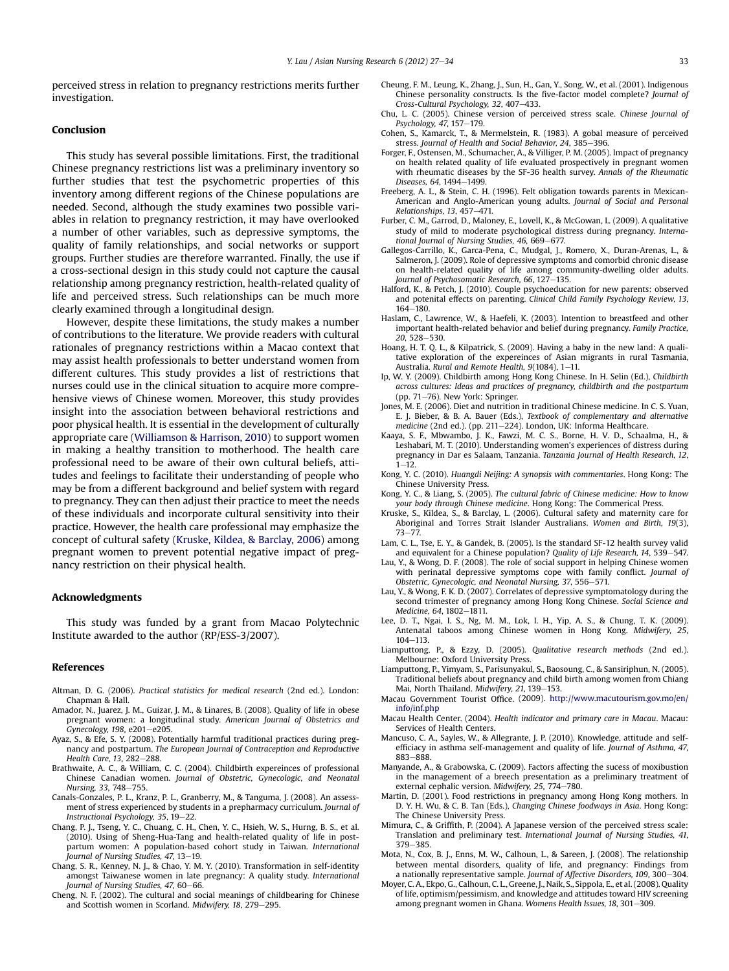<span id="page-6-0"></span>perceived stress in relation to pregnancy restrictions merits further investigation.

## Conclusion

This study has several possible limitations. First, the traditional Chinese pregnancy restrictions list was a preliminary inventory so further studies that test the psychometric properties of this inventory among different regions of the Chinese populations are needed. Second, although the study examines two possible variables in relation to pregnancy restriction, it may have overlooked a number of other variables, such as depressive symptoms, the quality of family relationships, and social networks or support groups. Further studies are therefore warranted. Finally, the use if a cross-sectional design in this study could not capture the causal relationship among pregnancy restriction, health-related quality of life and perceived stress. Such relationships can be much more clearly examined through a longitudinal design.

However, despite these limitations, the study makes a number of contributions to the literature. We provide readers with cultural rationales of pregnancy restrictions within a Macao context that may assist health professionals to better understand women from different cultures. This study provides a list of restrictions that nurses could use in the clinical situation to acquire more comprehensive views of Chinese women. Moreover, this study provides insight into the association between behavioral restrictions and poor physical health. It is essential in the development of culturally appropriate care ([Williamson & Harrison, 2010](#page-7-0)) to support women in making a healthy transition to motherhood. The health care professional need to be aware of their own cultural beliefs, attitudes and feelings to facilitate their understanding of people who may be from a different background and belief system with regard to pregnancy. They can then adjust their practice to meet the needs of these individuals and incorporate cultural sensitivity into their practice. However, the health care professional may emphasize the concept of cultural safety (Kruske, Kildea, & Barclay, 2006) among pregnant women to prevent potential negative impact of pregnancy restriction on their physical health.

#### Acknowledgments

This study was funded by a grant from Macao Polytechnic Institute awarded to the author (RP/ESS-3/2007).

#### References

- Altman, D. G. (2006). Practical statistics for medical research (2nd ed.). London: Chapman & Hall.
- Amador, N., Juarez, J. M., Guizar, J. M., & Linares, B. (2008). Quality of life in obese pregnant women: a longitudinal study. American Journal of Obstetrics and Gynecology, 198, e201-e205.
- Ayaz, S., & Efe, S. Y. (2008). Potentially harmful traditional practices during pregnancy and postpartum. The European Journal of Contraception and Reproductive Health Care, 13, 282-288.
- Brathwaite, A. C., & William, C. C. (2004). Childbirth expereinces of professional Chinese Canadian women. Journal of Obstetric, Gynecologic, and Neonatal Nursing, 33, 748-755.
- Canals-Gonzales, P. L., Kranz, P. L., Granberry, M., & Tanguma, J. (2008). An assessment of stress experienced by students in a prepharmacy curriculum. Journal of Instructional Psychology, 35, 19-22.
- Chang, P. J., Tseng, Y. C., Chuang, C. H., Chen, Y. C., Hsieh, W. S., Hurng, B. S., et al. (2010). Using of Sheng-Hua-Tang and health-related quality of life in postpartum women: A population-based cohort study in Taiwan. International Journal of Nursing Studies, 47, 13-19.
- Chang, S. R., Kenney, N. J., & Chao, Y. M. Y. (2010). Transformation in self-identity amongst Taiwanese women in late pregnancy: A quality study. International Journal of Nursing Studies, 47, 60-66.
- Cheng, N. F. (2002). The cultural and social meanings of childbearing for Chinese and Scottish women in Scorland. Midwifery, 18, 279-295.
- Cheung, F. M., Leung, K., Zhang, J., Sun, H., Gan, Y., Song, W., et al. (2001). Indigenous Chinese personality constructs. Is the five-factor model complete? Journal of Cross-Cultural Psychology, 32, 407-433.
- Chu, L. C. (2005). Chinese version of perceived stress scale. Chinese Journal of Psychology, 47, 157-179.
- Cohen, S., Kamarck, T., & Mermelstein, R. (1983). A gobal measure of perceived stress. Journal of Health and Social Behavior, 24, 385-396.
- Forger, F., Ostensen, M., Schumacher, A., & Villiger, P. M. (2005). Impact of pregnancy on health related quality of life evaluated prospectively in pregnant women with rheumatic diseases by the SF-36 health survey. Annals of the Rheumatic Diseases, 64, 1494-1499.
- Freeberg, A. L., & Stein, C. H. (1996). Felt obligation towards parents in Mexican-American and Anglo-American young adults. Journal of Social and Personal Relationships, 13, 457-471.
- Furber, C. M., Garrod, D., Maloney, E., Lovell, K., & McGowan, L. (2009). A qualitative study of mild to moderate psychological distress during pregnancy. Interna-
- tional Journal of Nursing Studies, 46, 669–677.<br>Gallegos-Carrillo, K., Garca-Pena, C., Mudgal, J., Romero, X., Duran-Arenas, L., & Salmeron, J. (2009). Role of depressive symptoms and comorbid chronic disease on health-related quality of life among community-dwelling older adults. Journal of Psychosomatic Research, 66, 127-135.
- Halford, K., & Petch, J. (2010). Couple psychoeducation for new parents: observed and potenital effects on parenting. Clinical Child Family Psychology Review, 13,  $164 - 180$
- Haslam, C., Lawrence, W., & Haefeli, K. (2003). Intention to breastfeed and other important health-related behavior and belief during pregnancy. Family Practice, 20, 528-530.
- Hoang, H. T. Q. L., & Kilpatrick, S. (2009). Having a baby in the new land: A qualitative exploration of the expereinces of Asian migrants in rural Tasmania, Australia. Rural and Remote Health, 9(1084), 1-11.
- Ip, W. Y. (2009). Childbirth among Hong Kong Chinese. In H. Selin (Ed.), Childbirth across cultures: Ideas and practices of pregnancy, childbirth and the postpartum (pp. 71-76). New York: Springer.
- Jones, M. E. (2006). Diet and nutrition in traditional Chinese medicine. In C. S. Yuan, E. J. Bieber, & B. A. Bauer (Eds.), Textbook of complementary and alternative medicine (2nd ed.). (pp. 211-224). London, UK: Informa Healthcare.
- Kaaya, S. F., Mbwambo, J. K., Fawzi, M. C. S., Borne, H. V. D., Schaalma, H., & Leshabari, M. T. (2010). Understanding women's experiences of distress during pregnancy in Dar es Salaam, Tanzania. Tanzania Journal of Health Research, 12,  $1 - 12$ .
- Kong, Y. C. (2010). Huangdi Neijing: A synopsis with commentaries. Hong Kong: The Chinese University Press.
- Kong, Y. C., & Liang, S. (2005). The cultural fabric of Chinese medicine: How to know your body through Chinese medicine. Hong Kong: The Commerical Press.
- Kruske, S., Kildea, S., & Barclay, L. (2006). Cultural safety and maternity care for Aboriginal and Torres Strait Islander Australians. Women and Birth, 19(3),  $73 - 77.$
- Lam, C. L., Tse, E. Y., & Gandek, B. (2005). Is the standard SF-12 health survey valid and equivalent for a Chinese population? Quality of Life Research, 14, 539-547.
- Lau, Y., & Wong, D. F. (2008). The role of social support in helping Chinese women with perinatal depressive symptoms cope with family conflict. Journal of Obstetric, Gynecologic, and Neonatal Nursing, 37, 556-571.
- Lau, Y., & Wong, F. K. D. (2007). Correlates of depressive symptomatology during the second trimester of pregnancy among Hong Kong Chinese. Social Science and Medicine, 64, 1802-1811.
- Lee, D. T., Ngai, I. S., Ng, M. M., Lok, I. H., Yip, A. S., & Chung, T. K. (2009). Antenatal taboos among Chinese women in Hong Kong. Midwifery, 25,  $104 - 113$ .
- Liamputtong, P., & Ezzy, D. (2005). Qualitative research methods (2nd ed.). Melbourne: Oxford University Press.
- Liamputtong, P., Yimyam, S., Parisunyakul, S., Baosoung, C., & Sansiriphun, N. (2005). Traditional beliefs about pregnancy and child birth among women from Chiang Mai, North Thailand. Midwifery, 21, 139-153.
- Macau Government Tourist Office. (2009). [http://www.macutourism.gov.mo/en/](http://www.macutourism.gov.mo/en/info/inf.php) [info/inf.php](http://www.macutourism.gov.mo/en/info/inf.php)
- Macau Health Center. (2004). Health indicator and primary care in Macau. Macau: Services of Health Centers.
- Mancuso, C. A., Sayles, W., & Allegrante, J. P. (2010). Knowledge, attitude and selfefficiacy in asthma self-management and quality of life. Journal of Asthma, 47, 883-888.
- Manyande, A., & Grabowska, C. (2009). Factors affecting the sucess of moxibustion in the management of a breech presentation as a preliminary treatment of external cephalic version. Midwifery, 25, 774-780.
- Martin, D. (2001). Food restrictions in pregnancy among Hong Kong mothers. In D. Y. H. Wu, & C. B. Tan (Eds.), Changing Chinese foodways in Asia. Hong Kong: The Chinese University Press.
- Mimura, C., & Griffith, P. (2004). A Japanese version of the perceived stress scale: Translation and preliminary test. International Journal of Nursing Studies, 41, 379-385
- Mota, N., Cox, B. J., Enns, M. W., Calhoun, L., & Sareen, J. (2008). The relationship between mental disorders, quality of life, and pregnancy: Findings from a nationally representative sample. Journal of Affective Disorders, 109, 300-304.
- Moyer, C. A., Ekpo, G., Calhoun, C. L., Greene, J., Naik, S., Sippola, E., et al. (2008). Quality of life, optimism/pessimism, and knowledge and attitudes toward HIV screening among pregnant women in Ghana. Womens Health Issues, 18, 301–309.